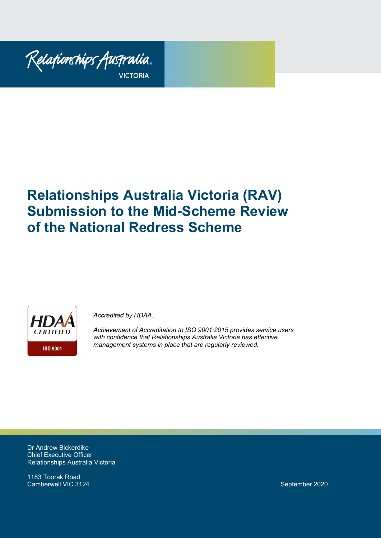

# **Relationships Australia Victoria (RAV) Submission to the Mid-Scheme Review of the National Redress Scheme**



*Accredited by HDAA.* 

*Achievement of Accreditation to ISO 9001:2015 provides service users with confidence that Relationships Australia Victoria has effective management systems in place that are regularly reviewed.*

Dr Andrew Bickerdike Chief Executive Officer Relationships Australia Victoria

1183 Toorak Road Camberwell VIC 3124 September 2020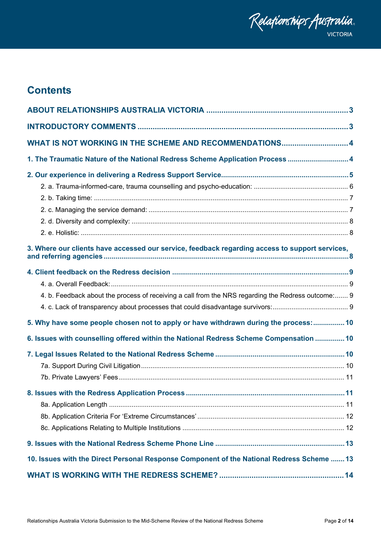

# **Contents**

| WHAT IS NOT WORKING IN THE SCHEME AND RECOMMENDATIONS 4                                            |  |
|----------------------------------------------------------------------------------------------------|--|
| 1. The Traumatic Nature of the National Redress Scheme Application Process  4                      |  |
|                                                                                                    |  |
|                                                                                                    |  |
|                                                                                                    |  |
|                                                                                                    |  |
|                                                                                                    |  |
|                                                                                                    |  |
| 3. Where our clients have accessed our service, feedback regarding access to support services,     |  |
|                                                                                                    |  |
|                                                                                                    |  |
| 4. b. Feedback about the process of receiving a call from the NRS regarding the Redress outcome: 9 |  |
|                                                                                                    |  |
| 5. Why have some people chosen not to apply or have withdrawn during the process: 10               |  |
| 6. Issues with counselling offered within the National Redress Scheme Compensation  10             |  |
|                                                                                                    |  |
|                                                                                                    |  |
|                                                                                                    |  |
|                                                                                                    |  |
|                                                                                                    |  |
|                                                                                                    |  |
|                                                                                                    |  |
|                                                                                                    |  |
| 10. Issues with the Direct Personal Response Component of the National Redress Scheme  13          |  |
|                                                                                                    |  |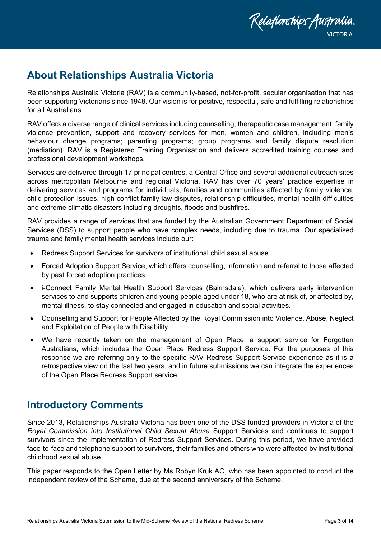

# <span id="page-2-0"></span>**About Relationships Australia Victoria**

Relationships Australia Victoria (RAV) is a community-based, not-for-profit, secular organisation that has been supporting Victorians since 1948. Our vision is for positive, respectful, safe and fulfilling relationships for all Australians.

RAV offers a diverse range of clinical services including counselling; therapeutic case management; family violence prevention, support and recovery services for men, women and children, including men's behaviour change programs; parenting programs; group programs and family dispute resolution (mediation). RAV is a Registered Training Organisation and delivers accredited training courses and professional development workshops.

Services are delivered through 17 principal centres, a Central Office and several additional outreach sites across metropolitan Melbourne and regional Victoria. RAV has over 70 years' practice expertise in delivering services and programs for individuals, families and communities affected by family violence, child protection issues, high conflict family law disputes, relationship difficulties, mental health difficulties and extreme climatic disasters including droughts, floods and bushfires.

RAV provides a range of services that are funded by the Australian Government Department of Social Services (DSS) to support people who have complex needs, including due to trauma. Our specialised trauma and family mental health services include our:

- Redress Support Services for survivors of institutional child sexual abuse
- Forced Adoption Support Service, which offers counselling, information and referral to those affected by past forced adoption practices
- i-Connect Family Mental Health Support Services (Bairnsdale), which delivers early intervention services to and supports children and young people aged under 18, who are at risk of, or affected by, mental illness, to stay connected and engaged in education and social activities.
- Counselling and Support for People Affected by the Royal Commission into Violence, Abuse, Neglect and Exploitation of People with Disability.
- We have recently taken on the management of Open Place, a support service for Forgotten Australians, which includes the Open Place Redress Support Service. For the purposes of this response we are referring only to the specific RAV Redress Support Service experience as it is a retrospective view on the last two years, and in future submissions we can integrate the experiences of the Open Place Redress Support service.

# <span id="page-2-1"></span>**Introductory Comments**

Since 2013, Relationships Australia Victoria has been one of the DSS funded providers in Victoria of the *Royal Commission into Institutional Child Sexual Abuse* Support Services and continues to support survivors since the implementation of Redress Support Services. During this period, we have provided face-to-face and telephone support to survivors, their families and others who were affected by institutional childhood sexual abuse.

This paper responds to the Open Letter by Ms Robyn Kruk AO, who has been appointed to conduct the independent review of the Scheme, due at the second anniversary of the Scheme.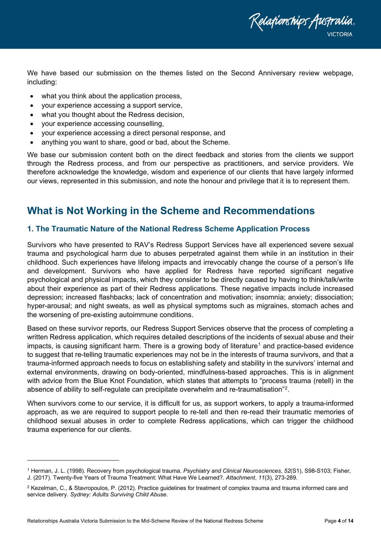

We have based our submission on the themes listed on the Second Anniversary review webpage, including:

- what you think about the application process,
- your experience accessing a support service,
- what you thought about the Redress decision,
- your experience accessing counselling,
- your experience accessing a direct personal response, and
- anything you want to share, good or bad, about the Scheme.

We base our submission content both on the direct feedback and stories from the clients we support through the Redress process, and from our perspective as practitioners, and service providers. We therefore acknowledge the knowledge, wisdom and experience of our clients that have largely informed our views, represented in this submission, and note the honour and privilege that it is to represent them.

# <span id="page-3-0"></span>**What is Not Working in the Scheme and Recommendations**

# <span id="page-3-1"></span>**1. The Traumatic Nature of the National Redress Scheme Application Process**

Survivors who have presented to RAV's Redress Support Services have all experienced severe sexual trauma and psychological harm due to abuses perpetrated against them while in an institution in their childhood. Such experiences have lifelong impacts and irrevocably change the course of a person's life and development. Survivors who have applied for Redress have reported significant negative psychological and physical impacts, which they consider to be directly caused by having to think/talk/write about their experience as part of their Redress applications. These negative impacts include increased depression; increased flashbacks; lack of concentration and motivation; insomnia; anxiety; dissociation; hyper-arousal; and night sweats, as well as physical symptoms such as migraines, stomach aches and the worsening of pre-existing autoimmune conditions.

Based on these survivor reports, our Redress Support Services observe that the process of completing a written Redress application, which requires detailed descriptions of the incidents of sexual abuse and their impacts, is causing significant harm. There is a growing body of literature<sup>[1](#page-3-2)</sup> and practice-based evidence to suggest that re-telling traumatic experiences may not be in the interests of trauma survivors, and that a trauma-informed approach needs to focus on establishing safety and stability in the survivors' internal and external environments, drawing on body-oriented, mindfulness-based approaches. This is in alignment with advice from the Blue Knot Foundation, which states that attempts to "process trauma (retell) in the absence of ability to self-regulate can precipitate overwhelm and re-traumatisation"[2](#page-3-3).

When survivors come to our service, it is difficult for us, as support workers, to apply a trauma-informed approach, as we are required to support people to re-tell and then re-read their traumatic memories of childhood sexual abuses in order to complete Redress applications, which can trigger the childhood trauma experience for our clients.

<span id="page-3-2"></span><sup>1</sup> Herman, J. L. (1998). Recovery from psychological trauma. *Psychiatry and Clinical Neurosciences*, *52*(S1), S98-S103; Fisher, J. (2017). Twenty-five Years of Trauma Treatment: What Have We Learned?. *Attachment*, *11*(3), 273-289.

<span id="page-3-3"></span> $2$  Kezelman, C., & Stavropoulos, P. (2012). Practice quidelines for treatment of complex trauma and trauma informed care and service delivery. *Sydney: Adults Surviving Child Abuse.*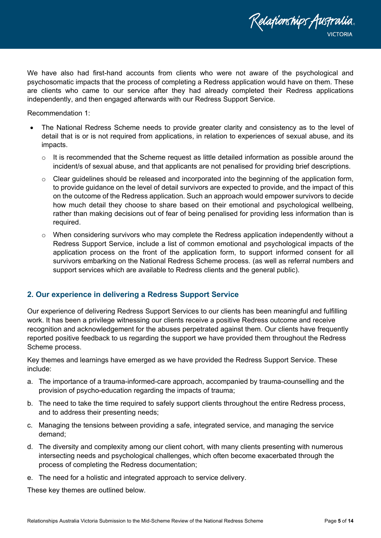We have also had first-hand accounts from clients who were not aware of the psychological and psychosomatic impacts that the process of completing a Redress application would have on them. These are clients who came to our service after they had already completed their Redress applications independently, and then engaged afterwards with our Redress Support Service.

Relationships Australia.

Recommendation 1:

- The National Redress Scheme needs to provide greater clarity and consistency as to the level of detail that is or is not required from applications, in relation to experiences of sexual abuse, and its impacts.
	- o It is recommended that the Scheme request as little detailed information as possible around the incident/s of sexual abuse, and that applicants are not penalised for providing brief descriptions.
	- $\circ$  Clear guidelines should be released and incorporated into the beginning of the application form, to provide guidance on the level of detail survivors are expected to provide, and the impact of this on the outcome of the Redress application. Such an approach would empower survivors to decide how much detail they choose to share based on their emotional and psychological wellbeing, rather than making decisions out of fear of being penalised for providing less information than is required.
	- $\circ$  When considering survivors who may complete the Redress application independently without a Redress Support Service, include a list of common emotional and psychological impacts of the application process on the front of the application form, to support informed consent for all survivors embarking on the National Redress Scheme process. (as well as referral numbers and support services which are available to Redress clients and the general public).

### <span id="page-4-0"></span>**2. Our experience in delivering a Redress Support Service**

Our experience of delivering Redress Support Services to our clients has been meaningful and fulfilling work. It has been a privilege witnessing our clients receive a positive Redress outcome and receive recognition and acknowledgement for the abuses perpetrated against them. Our clients have frequently reported positive feedback to us regarding the support we have provided them throughout the Redress Scheme process.

Key themes and learnings have emerged as we have provided the Redress Support Service. These include:

- a. The importance of a trauma-informed-care approach, accompanied by trauma-counselling and the provision of psycho-education regarding the impacts of trauma;
- b. The need to take the time required to safely support clients throughout the entire Redress process, and to address their presenting needs;
- c. Managing the tensions between providing a safe, integrated service, and managing the service demand;
- d. The diversity and complexity among our client cohort, with many clients presenting with numerous intersecting needs and psychological challenges, which often become exacerbated through the process of completing the Redress documentation;
- e. The need for a holistic and integrated approach to service delivery.

These key themes are outlined below.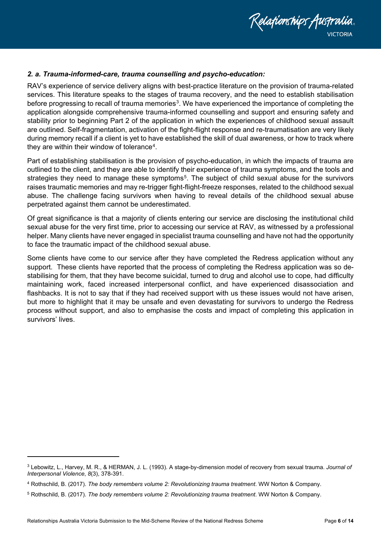

### <span id="page-5-0"></span>*2. a. Trauma-informed-care, trauma counselling and psycho-education:*

RAV's experience of service delivery aligns with best-practice literature on the provision of trauma-related services. This literature speaks to the stages of trauma recovery, and the need to establish stabilisation before progressing to recall of trauma memories<sup>3</sup>. We have experienced the importance of completing the application alongside comprehensive trauma-informed counselling and support and ensuring safety and stability prior to beginning Part 2 of the application in which the experiences of childhood sexual assault are outlined. Self-fragmentation, activation of the fight-flight response and re-traumatisation are very likely during memory recall if a client is yet to have established the skill of dual awareness, or how to track where they are within their window of tolerance<sup>4</sup>.

Part of establishing stabilisation is the provision of psycho-education, in which the impacts of trauma are outlined to the client, and they are able to identify their experience of trauma symptoms, and the tools and strategies they need to manage these symptoms<sup>5</sup>. The subject of child sexual abuse for the survivors raises traumatic memories and may re-trigger fight-flight-freeze responses, related to the childhood sexual abuse. The challenge facing survivors when having to reveal details of the childhood sexual abuse perpetrated against them cannot be underestimated.

Of great significance is that a majority of clients entering our service are disclosing the institutional child sexual abuse for the very first time, prior to accessing our service at RAV, as witnessed by a professional helper. Many clients have never engaged in specialist trauma counselling and have not had the opportunity to face the traumatic impact of the childhood sexual abuse.

Some clients have come to our service after they have completed the Redress application without any support. These clients have reported that the process of completing the Redress application was so destabilising for them, that they have become suicidal, turned to drug and alcohol use to cope, had difficulty maintaining work, faced increased interpersonal conflict, and have experienced disassociation and flashbacks. It is not to say that if they had received support with us these issues would not have arisen, but more to highlight that it may be unsafe and even devastating for survivors to undergo the Redress process without support, and also to emphasise the costs and impact of completing this application in survivors' lives.

<span id="page-5-1"></span><sup>3</sup> Lebowitz, L., Harvey, M. R., & HERMAN, J. L. (1993). A stage-by-dimension model of recovery from sexual trauma. *Journal of Interpersonal Violence*, *8*(3), 378-391.

<span id="page-5-2"></span><sup>4</sup> Rothschild, B. (2017). *The body remembers volume 2: Revolutionizing trauma treatment*. WW Norton & Company.

<span id="page-5-3"></span><sup>5</sup> Rothschild, B. (2017). *The body remembers volume 2: Revolutionizing trauma treatment*. WW Norton & Company.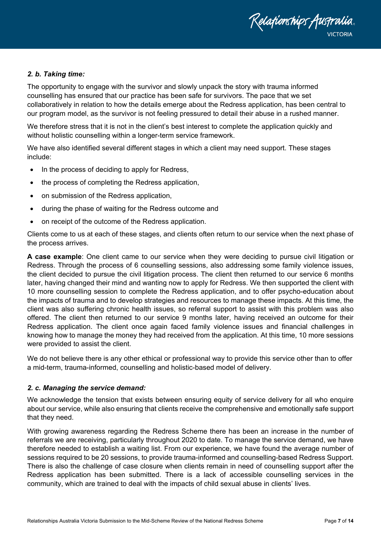

#### <span id="page-6-0"></span>*2. b. Taking time:*

The opportunity to engage with the survivor and slowly unpack the story with trauma informed counselling has ensured that our practice has been safe for survivors. The pace that we set collaboratively in relation to how the details emerge about the Redress application, has been central to our program model, as the survivor is not feeling pressured to detail their abuse in a rushed manner.

We therefore stress that it is not in the client's best interest to complete the application quickly and without holistic counselling within a longer-term service framework.

We have also identified several different stages in which a client may need support. These stages include:

- In the process of deciding to apply for Redress,
- the process of completing the Redress application,
- on submission of the Redress application,
- during the phase of waiting for the Redress outcome and
- on receipt of the outcome of the Redress application.

Clients come to us at each of these stages, and clients often return to our service when the next phase of the process arrives.

**A case example**: One client came to our service when they were deciding to pursue civil litigation or Redress. Through the process of 6 counselling sessions, also addressing some family violence issues, the client decided to pursue the civil litigation process. The client then returned to our service 6 months later, having changed their mind and wanting now to apply for Redress. We then supported the client with 10 more counselling session to complete the Redress application, and to offer psycho-education about the impacts of trauma and to develop strategies and resources to manage these impacts. At this time, the client was also suffering chronic health issues, so referral support to assist with this problem was also offered. The client then returned to our service 9 months later, having received an outcome for their Redress application. The client once again faced family violence issues and financial challenges in knowing how to manage the money they had received from the application. At this time, 10 more sessions were provided to assist the client.

We do not believe there is any other ethical or professional way to provide this service other than to offer a mid-term, trauma-informed, counselling and holistic-based model of delivery.

#### <span id="page-6-1"></span>*2. c. Managing the service demand:*

We acknowledge the tension that exists between ensuring equity of service delivery for all who enquire about our service, while also ensuring that clients receive the comprehensive and emotionally safe support that they need.

With growing awareness regarding the Redress Scheme there has been an increase in the number of referrals we are receiving, particularly throughout 2020 to date. To manage the service demand, we have therefore needed to establish a waiting list. From our experience, we have found the average number of sessions required to be 20 sessions, to provide trauma-informed and counselling-based Redress Support. There is also the challenge of case closure when clients remain in need of counselling support after the Redress application has been submitted. There is a lack of accessible counselling services in the community, which are trained to deal with the impacts of child sexual abuse in clients' lives.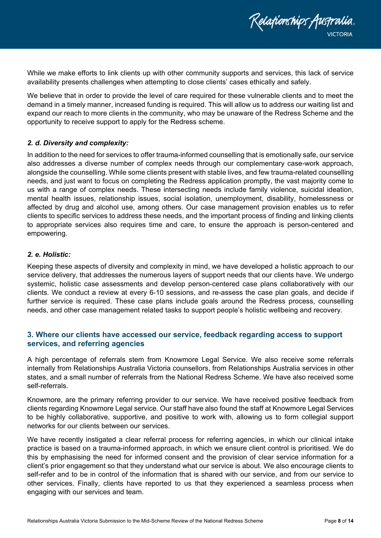

While we make efforts to link clients up with other community supports and services, this lack of service availability presents challenges when attempting to close clients' cases ethically and safely.

We believe that in order to provide the level of care required for these vulnerable clients and to meet the demand in a timely manner, increased funding is required. This will allow us to address our waiting list and expand our reach to more clients in the community, who may be unaware of the Redress Scheme and the opportunity to receive support to apply for the Redress scheme.

#### <span id="page-7-0"></span>*2. d. Diversity and complexity:*

In addition to the need for services to offer trauma-informed counselling that is emotionally safe, our service also addresses a diverse number of complex needs through our complementary case-work approach, alongside the counselling. While some clients present with stable lives, and few trauma-related counselling needs, and just want to focus on completing the Redress application promptly, the vast majority come to us with a range of complex needs. These intersecting needs include family violence, suicidal ideation, mental health issues, relationship issues, social isolation, unemployment, disability, homelessness or affected by drug and alcohol use, among others. Our case management provision enables us to refer clients to specific services to address these needs, and the important process of finding and linking clients to appropriate services also requires time and care, to ensure the approach is person-centered and empowering.

#### <span id="page-7-1"></span>*2. e. Holistic:*

Keeping these aspects of diversity and complexity in mind, we have developed a holistic approach to our service delivery, that addresses the numerous layers of support needs that our clients have. We undergo systemic, holistic case assessments and develop person-centered case plans collaboratively with our clients. We conduct a review at every 6-10 sessions, and re-assess the case plan goals, and decide if further service is required. These case plans include goals around the Redress process, counselling needs, and other case management related tasks to support people's holistic wellbeing and recovery.

# <span id="page-7-2"></span>**3. Where our clients have accessed our service, feedback regarding access to support services, and referring agencies**

A high percentage of referrals stem from Knowmore Legal Service. We also receive some referrals internally from Relationships Australia Victoria counsellors, from Relationships Australia services in other states, and a small number of referrals from the National Redress Scheme. We have also received some self-referrals.

Knowmore, are the primary referring provider to our service. We have received positive feedback from clients regarding Knowmore Legal service. Our staff have also found the staff at Knowmore Legal Services to be highly collaborative, supportive, and positive to work with, allowing us to form collegial support networks for our clients between our services.

We have recently instigated a clear referral process for referring agencies, in which our clinical intake practice is based on a trauma-informed approach, in which we ensure client control is prioritised. We do this by emphasising the need for informed consent and the provision of clear service information for a client's prior engagement so that they understand what our service is about. We also encourage clients to self-refer and to be in control of the information that is shared with our service, and from our service to other services. Finally, clients have reported to us that they experienced a seamless process when engaging with our services and team.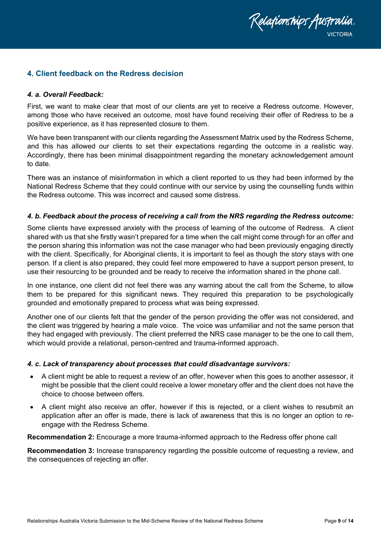

# <span id="page-8-0"></span>**4. Client feedback on the Redress decision**

#### <span id="page-8-1"></span>*4. a. Overall Feedback:*

First, we want to make clear that most of our clients are yet to receive a Redress outcome. However, among those who have received an outcome, most have found receiving their offer of Redress to be a positive experience, as it has represented closure to them.

We have been transparent with our clients regarding the Assessment Matrix used by the Redress Scheme, and this has allowed our clients to set their expectations regarding the outcome in a realistic way. Accordingly, there has been minimal disappointment regarding the monetary acknowledgement amount to date.

There was an instance of misinformation in which a client reported to us they had been informed by the National Redress Scheme that they could continue with our service by using the counselling funds within the Redress outcome. This was incorrect and caused some distress.

#### <span id="page-8-2"></span>*4. b. Feedback about the process of receiving a call from the NRS regarding the Redress outcome:*

Some clients have expressed anxiety with the process of learning of the outcome of Redress. A client shared with us that she firstly wasn't prepared for a time when the call might come through for an offer and the person sharing this information was not the case manager who had been previously engaging directly with the client. Specifically, for Aboriginal clients, it is important to feel as though the story stays with one person. If a client is also prepared, they could feel more empowered to have a support person present, to use their resourcing to be grounded and be ready to receive the information shared in the phone call.

In one instance, one client did not feel there was any warning about the call from the Scheme, to allow them to be prepared for this significant news. They required this preparation to be psychologically grounded and emotionally prepared to process what was being expressed.

Another one of our clients felt that the gender of the person providing the offer was not considered, and the client was triggered by hearing a male voice. The voice was unfamiliar and not the same person that they had engaged with previously. The client preferred the NRS case manager to be the one to call them, which would provide a relational, person-centred and trauma-informed approach.

#### <span id="page-8-3"></span>*4. c. Lack of transparency about processes that could disadvantage survivors:*

- A client might be able to request a review of an offer, however when this goes to another assessor, it might be possible that the client could receive a lower monetary offer and the client does not have the choice to choose between offers.
- A client might also receive an offer, however if this is rejected, or a client wishes to resubmit an application after an offer is made, there is lack of awareness that this is no longer an option to reengage with the Redress Scheme.

**Recommendation 2:** Encourage a more trauma-informed approach to the Redress offer phone call

**Recommendation 3:** Increase transparency regarding the possible outcome of requesting a review, and the consequences of rejecting an offer.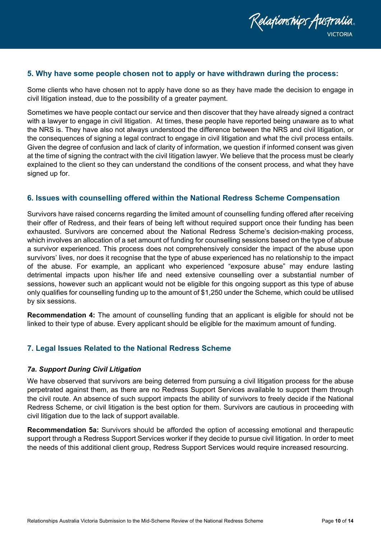

# <span id="page-9-0"></span>**5. Why have some people chosen not to apply or have withdrawn during the process:**

Some clients who have chosen not to apply have done so as they have made the decision to engage in civil litigation instead, due to the possibility of a greater payment.

Sometimes we have people contact our service and then discover that they have already signed a contract with a lawyer to engage in civil litigation. At times, these people have reported being unaware as to what the NRS is. They have also not always understood the difference between the NRS and civil litigation, or the consequences of signing a legal contract to engage in civil litigation and what the civil process entails. Given the degree of confusion and lack of clarity of information, we question if informed consent was given at the time of signing the contract with the civil litigation lawyer. We believe that the process must be clearly explained to the client so they can understand the conditions of the consent process, and what they have signed up for.

### <span id="page-9-1"></span>**6. Issues with counselling offered within the National Redress Scheme Compensation**

Survivors have raised concerns regarding the limited amount of counselling funding offered after receiving their offer of Redress, and their fears of being left without required support once their funding has been exhausted. Survivors are concerned about the National Redress Scheme's decision-making process, which involves an allocation of a set amount of funding for counselling sessions based on the type of abuse a survivor experienced. This process does not comprehensively consider the impact of the abuse upon survivors' lives, nor does it recognise that the type of abuse experienced has no relationship to the impact of the abuse. For example, an applicant who experienced "exposure abuse" may endure lasting detrimental impacts upon his/her life and need extensive counselling over a substantial number of sessions, however such an applicant would not be eligible for this ongoing support as this type of abuse only qualifies for counselling funding up to the amount of \$1,250 under the Scheme, which could be utilised by six sessions.

**Recommendation 4:** The amount of counselling funding that an applicant is eligible for should not be linked to their type of abuse. Every applicant should be eligible for the maximum amount of funding.

# <span id="page-9-2"></span>**7. Legal Issues Related to the National Redress Scheme**

#### <span id="page-9-3"></span>*7a. Support During Civil Litigation*

We have observed that survivors are being deterred from pursuing a civil litigation process for the abuse perpetrated against them, as there are no Redress Support Services available to support them through the civil route. An absence of such support impacts the ability of survivors to freely decide if the National Redress Scheme, or civil litigation is the best option for them. Survivors are cautious in proceeding with civil litigation due to the lack of support available.

**Recommendation 5a:** Survivors should be afforded the option of accessing emotional and therapeutic support through a Redress Support Services worker if they decide to pursue civil litigation. In order to meet the needs of this additional client group, Redress Support Services would require increased resourcing.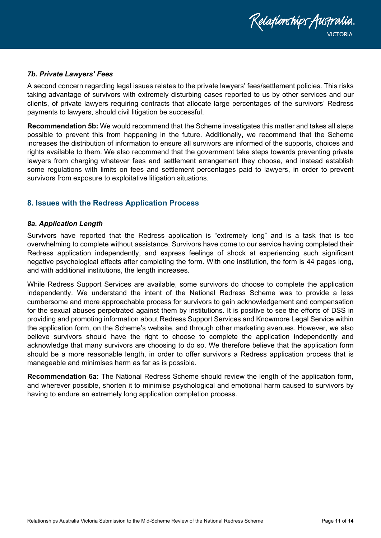

#### <span id="page-10-0"></span>*7b. Private Lawyers' Fees*

A second concern regarding legal issues relates to the private lawyers' fees/settlement policies. This risks taking advantage of survivors with extremely disturbing cases reported to us by other services and our clients, of private lawyers requiring contracts that allocate large percentages of the survivors' Redress payments to lawyers, should civil litigation be successful.

**Recommendation 5b:** We would recommend that the Scheme investigates this matter and takes all steps possible to prevent this from happening in the future. Additionally, we recommend that the Scheme increases the distribution of information to ensure all survivors are informed of the supports, choices and rights available to them. We also recommend that the government take steps towards preventing private lawyers from charging whatever fees and settlement arrangement they choose, and instead establish some regulations with limits on fees and settlement percentages paid to lawyers, in order to prevent survivors from exposure to exploitative litigation situations.

### <span id="page-10-1"></span>**8. Issues with the Redress Application Process**

#### <span id="page-10-2"></span>*8a. Application Length*

Survivors have reported that the Redress application is "extremely long" and is a task that is too overwhelming to complete without assistance. Survivors have come to our service having completed their Redress application independently, and express feelings of shock at experiencing such significant negative psychological effects after completing the form. With one institution, the form is 44 pages long, and with additional institutions, the length increases.

While Redress Support Services are available, some survivors do choose to complete the application independently. We understand the intent of the National Redress Scheme was to provide a less cumbersome and more approachable process for survivors to gain acknowledgement and compensation for the sexual abuses perpetrated against them by institutions. It is positive to see the efforts of DSS in providing and promoting information about Redress Support Services and Knowmore Legal Service within the application form, on the Scheme's website, and through other marketing avenues. However, we also believe survivors should have the right to choose to complete the application independently and acknowledge that many survivors are choosing to do so. We therefore believe that the application form should be a more reasonable length, in order to offer survivors a Redress application process that is manageable and minimises harm as far as is possible.

<span id="page-10-3"></span>**Recommendation 6a:** The National Redress Scheme should review the length of the application form, and wherever possible, shorten it to minimise psychological and emotional harm caused to survivors by having to endure an extremely long application completion process.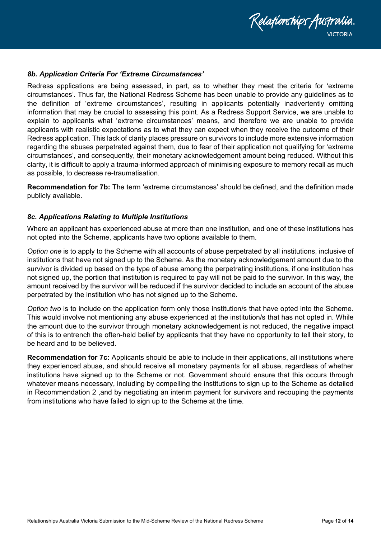

#### *8b. Application Criteria For 'Extreme Circumstances'*

Redress applications are being assessed, in part, as to whether they meet the criteria for 'extreme circumstances'. Thus far, the National Redress Scheme has been unable to provide any guidelines as to the definition of 'extreme circumstances', resulting in applicants potentially inadvertently omitting information that may be crucial to assessing this point. As a Redress Support Service, we are unable to explain to applicants what 'extreme circumstances' means, and therefore we are unable to provide applicants with realistic expectations as to what they can expect when they receive the outcome of their Redress application. This lack of clarity places pressure on survivors to include more extensive information regarding the abuses perpetrated against them, due to fear of their application not qualifying for 'extreme circumstances', and consequently, their monetary acknowledgement amount being reduced. Without this clarity, it is difficult to apply a trauma-informed approach of minimising exposure to memory recall as much as possible, to decrease re-traumatisation.

**Recommendation for 7b:** The term 'extreme circumstances' should be defined, and the definition made publicly available.

#### <span id="page-11-0"></span>*8c. Applications Relating to Multiple Institutions*

Where an applicant has experienced abuse at more than one institution, and one of these institutions has not opted into the Scheme, applicants have two options available to them.

*Option one* is to apply to the Scheme with all accounts of abuse perpetrated by all institutions, inclusive of institutions that have not signed up to the Scheme. As the monetary acknowledgement amount due to the survivor is divided up based on the type of abuse among the perpetrating institutions, if one institution has not signed up, the portion that institution is required to pay will not be paid to the survivor. In this way, the amount received by the survivor will be reduced if the survivor decided to include an account of the abuse perpetrated by the institution who has not signed up to the Scheme.

*Option two* is to include on the application form only those institution/s that have opted into the Scheme. This would involve not mentioning any abuse experienced at the institution/s that has not opted in. While the amount due to the survivor through monetary acknowledgement is not reduced, the negative impact of this is to entrench the often-held belief by applicants that they have no opportunity to tell their story, to be heard and to be believed.

<span id="page-11-1"></span>**Recommendation for 7c:** Applicants should be able to include in their applications, all institutions where they experienced abuse, and should receive all monetary payments for all abuse, regardless of whether institutions have signed up to the Scheme or not. Government should ensure that this occurs through whatever means necessary, including by compelling the institutions to sign up to the Scheme as detailed in Recommendation 2 ,and by negotiating an interim payment for survivors and recouping the payments from institutions who have failed to sign up to the Scheme at the time.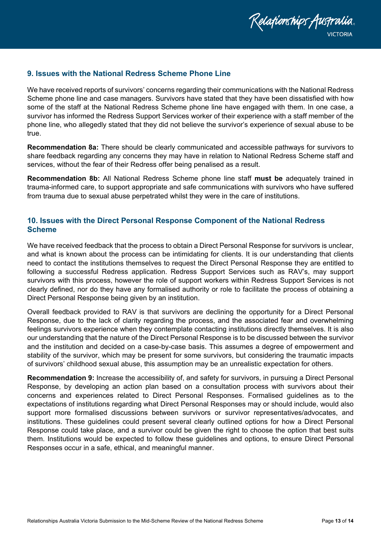

# **9. Issues with the National Redress Scheme Phone Line**

We have received reports of survivors' concerns regarding their communications with the National Redress Scheme phone line and case managers. Survivors have stated that they have been dissatisfied with how some of the staff at the National Redress Scheme phone line have engaged with them. In one case, a survivor has informed the Redress Support Services worker of their experience with a staff member of the phone line, who allegedly stated that they did not believe the survivor's experience of sexual abuse to be true.

**Recommendation 8a:** There should be clearly communicated and accessible pathways for survivors to share feedback regarding any concerns they may have in relation to National Redress Scheme staff and services, without the fear of their Redress offer being penalised as a result.

**Recommendation 8b:** All National Redress Scheme phone line staff **must be** adequately trained in trauma-informed care, to support appropriate and safe communications with survivors who have suffered from trauma due to sexual abuse perpetrated whilst they were in the care of institutions.

# <span id="page-12-0"></span>**10. Issues with the Direct Personal Response Component of the National Redress Scheme**

We have received feedback that the process to obtain a Direct Personal Response for survivors is unclear, and what is known about the process can be intimidating for clients. It is our understanding that clients need to contact the institutions themselves to request the Direct Personal Response they are entitled to following a successful Redress application. Redress Support Services such as RAV's, may support survivors with this process, however the role of support workers within Redress Support Services is not clearly defined, nor do they have any formalised authority or role to facilitate the process of obtaining a Direct Personal Response being given by an institution.

Overall feedback provided to RAV is that survivors are declining the opportunity for a Direct Personal Response, due to the lack of clarity regarding the process, and the associated fear and overwhelming feelings survivors experience when they contemplate contacting institutions directly themselves. It is also our understanding that the nature of the Direct Personal Response is to be discussed between the survivor and the institution and decided on a case-by-case basis. This assumes a degree of empowerment and stability of the survivor, which may be present for some survivors, but considering the traumatic impacts of survivors' childhood sexual abuse, this assumption may be an unrealistic expectation for others.

<span id="page-12-1"></span>**Recommendation 9:** Increase the accessibility of, and safety for survivors, in pursuing a Direct Personal Response, by developing an action plan based on a consultation process with survivors about their concerns and experiences related to Direct Personal Responses. Formalised guidelines as to the expectations of institutions regarding what Direct Personal Responses may or should include, would also support more formalised discussions between survivors or survivor representatives/advocates, and institutions. These guidelines could present several clearly outlined options for how a Direct Personal Response could take place, and a survivor could be given the right to choose the option that best suits them. Institutions would be expected to follow these guidelines and options, to ensure Direct Personal Responses occur in a safe, ethical, and meaningful manner.